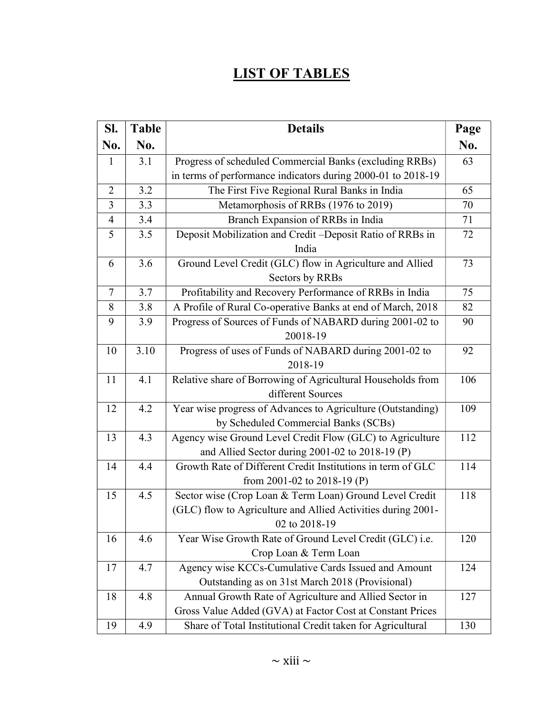## LIST OF TABLES

| SI.            | <b>Table</b> | <b>Details</b>                                               | Page |
|----------------|--------------|--------------------------------------------------------------|------|
| No.            | No.          |                                                              | No.  |
| 1              | 3.1          | Progress of scheduled Commercial Banks (excluding RRBs)      | 63   |
|                |              | in terms of performance indicators during 2000-01 to 2018-19 |      |
| $\overline{2}$ | 3.2          | The First Five Regional Rural Banks in India                 | 65   |
| 3              | 3.3          | Metamorphosis of RRBs (1976 to 2019)                         | 70   |
| $\overline{4}$ | 3.4          | Branch Expansion of RRBs in India                            | 71   |
| 5              | 3.5          | Deposit Mobilization and Credit-Deposit Ratio of RRBs in     | 72   |
|                |              | India                                                        |      |
| 6              | 3.6          | Ground Level Credit (GLC) flow in Agriculture and Allied     | 73   |
|                |              | Sectors by RRBs                                              |      |
| 7              | 3.7          | Profitability and Recovery Performance of RRBs in India      | 75   |
| 8              | 3.8          | A Profile of Rural Co-operative Banks at end of March, 2018  | 82   |
| 9              | 3.9          | Progress of Sources of Funds of NABARD during 2001-02 to     | 90   |
|                |              | 20018-19                                                     |      |
| 10             | 3.10         | Progress of uses of Funds of NABARD during 2001-02 to        | 92   |
|                |              | 2018-19                                                      |      |
| 11             | 4.1          | Relative share of Borrowing of Agricultural Households from  | 106  |
|                |              | different Sources                                            |      |
| 12             | 4.2          | Year wise progress of Advances to Agriculture (Outstanding)  | 109  |
|                |              | by Scheduled Commercial Banks (SCBs)                         |      |
| 13             | 4.3          | Agency wise Ground Level Credit Flow (GLC) to Agriculture    | 112  |
|                |              | and Allied Sector during 2001-02 to 2018-19 (P)              |      |
| 14             | 4.4          | Growth Rate of Different Credit Institutions in term of GLC  | 114  |
|                |              | from 2001-02 to 2018-19 (P)                                  |      |
| 15             | 4.5          | Sector wise (Crop Loan & Term Loan) Ground Level Credit      | 118  |
|                |              | (GLC) flow to Agriculture and Allied Activities during 2001- |      |
|                |              | 02 to 2018-19                                                |      |
| 16             | 4.6          | Year Wise Growth Rate of Ground Level Credit (GLC) i.e.      | 120  |
|                |              | Crop Loan & Term Loan                                        |      |
| 17             | 4.7          | Agency wise KCCs-Cumulative Cards Issued and Amount          | 124  |
|                |              | Outstanding as on 31st March 2018 (Provisional)              |      |
| 18             | 4.8          | Annual Growth Rate of Agriculture and Allied Sector in       | 127  |
|                |              | Gross Value Added (GVA) at Factor Cost at Constant Prices    |      |
| 19             | 4.9          | Share of Total Institutional Credit taken for Agricultural   | 130  |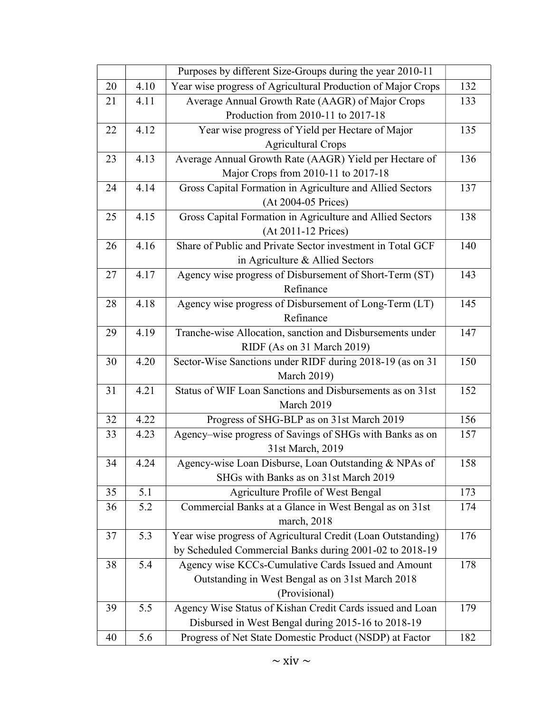|    |      | Purposes by different Size-Groups during the year 2010-11    |     |
|----|------|--------------------------------------------------------------|-----|
| 20 | 4.10 | Year wise progress of Agricultural Production of Major Crops | 132 |
| 21 | 4.11 | Average Annual Growth Rate (AAGR) of Major Crops             | 133 |
|    |      | Production from 2010-11 to 2017-18                           |     |
| 22 | 4.12 | Year wise progress of Yield per Hectare of Major             | 135 |
|    |      | <b>Agricultural Crops</b>                                    |     |
| 23 | 4.13 | Average Annual Growth Rate (AAGR) Yield per Hectare of       | 136 |
|    |      | Major Crops from 2010-11 to 2017-18                          |     |
| 24 | 4.14 | Gross Capital Formation in Agriculture and Allied Sectors    | 137 |
|    |      | (At 2004-05 Prices)                                          |     |
| 25 | 4.15 | Gross Capital Formation in Agriculture and Allied Sectors    | 138 |
|    |      | (At 2011-12 Prices)                                          |     |
| 26 | 4.16 | Share of Public and Private Sector investment in Total GCF   | 140 |
|    |      | in Agriculture & Allied Sectors                              |     |
| 27 | 4.17 | Agency wise progress of Disbursement of Short-Term (ST)      | 143 |
|    |      | Refinance                                                    |     |
| 28 | 4.18 | Agency wise progress of Disbursement of Long-Term (LT)       | 145 |
|    |      | Refinance                                                    |     |
| 29 | 4.19 | Tranche-wise Allocation, sanction and Disbursements under    | 147 |
|    |      | RIDF (As on 31 March 2019)                                   |     |
| 30 | 4.20 | Sector-Wise Sanctions under RIDF during 2018-19 (as on 31    | 150 |
|    |      | <b>March 2019)</b>                                           |     |
| 31 | 4.21 | Status of WIF Loan Sanctions and Disbursements as on 31st    | 152 |
|    |      | March 2019                                                   |     |
| 32 | 4.22 | Progress of SHG-BLP as on 31st March 2019                    | 156 |
| 33 | 4.23 | Agency-wise progress of Savings of SHGs with Banks as on     | 157 |
|    |      | 31st March, 2019                                             |     |
| 34 | 4.24 | Agency-wise Loan Disburse, Loan Outstanding & NPAs of        | 158 |
|    |      | SHGs with Banks as on 31st March 2019                        |     |
| 35 | 5.1  | Agriculture Profile of West Bengal                           | 173 |
| 36 | 5.2  | Commercial Banks at a Glance in West Bengal as on 31st       | 174 |
|    |      | march, 2018                                                  |     |
| 37 | 5.3  | Year wise progress of Agricultural Credit (Loan Outstanding) | 176 |
|    |      | by Scheduled Commercial Banks during 2001-02 to 2018-19      |     |
| 38 | 5.4  | Agency wise KCCs-Cumulative Cards Issued and Amount          | 178 |
|    |      | Outstanding in West Bengal as on 31st March 2018             |     |
|    |      | (Provisional)                                                |     |
| 39 | 5.5  | Agency Wise Status of Kishan Credit Cards issued and Loan    | 179 |
|    |      | Disbursed in West Bengal during 2015-16 to 2018-19           |     |
| 40 | 5.6  | Progress of Net State Domestic Product (NSDP) at Factor      | 182 |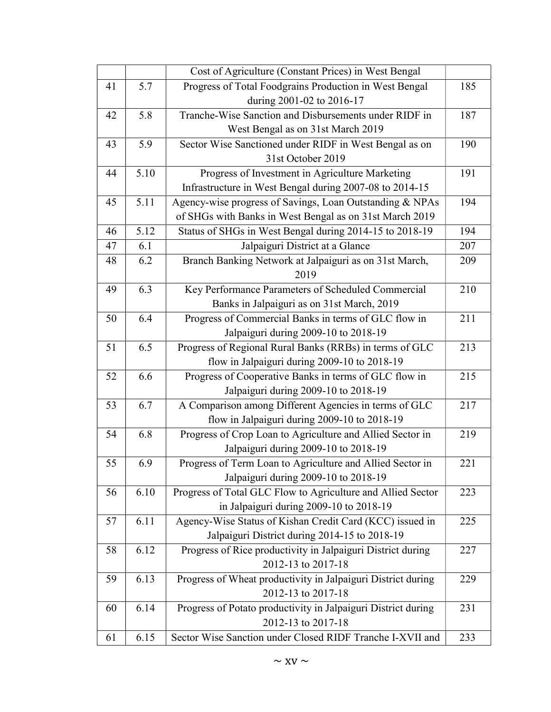|    |      | Cost of Agriculture (Constant Prices) in West Bengal          |     |
|----|------|---------------------------------------------------------------|-----|
| 41 | 5.7  | Progress of Total Foodgrains Production in West Bengal        | 185 |
|    |      | during 2001-02 to 2016-17                                     |     |
| 42 | 5.8  | Tranche-Wise Sanction and Disbursements under RIDF in         | 187 |
|    |      | West Bengal as on 31st March 2019                             |     |
| 43 | 5.9  | Sector Wise Sanctioned under RIDF in West Bengal as on        | 190 |
|    |      | 31st October 2019                                             |     |
| 44 | 5.10 | Progress of Investment in Agriculture Marketing               | 191 |
|    |      | Infrastructure in West Bengal during 2007-08 to 2014-15       |     |
| 45 | 5.11 | Agency-wise progress of Savings, Loan Outstanding & NPAs      | 194 |
|    |      | of SHGs with Banks in West Bengal as on 31st March 2019       |     |
| 46 | 5.12 | Status of SHGs in West Bengal during 2014-15 to 2018-19       | 194 |
| 47 | 6.1  | Jalpaiguri District at a Glance                               | 207 |
| 48 | 6.2  | Branch Banking Network at Jalpaiguri as on 31st March,        | 209 |
|    |      | 2019                                                          |     |
| 49 | 6.3  | Key Performance Parameters of Scheduled Commercial            | 210 |
|    |      | Banks in Jalpaiguri as on 31st March, 2019                    |     |
| 50 | 6.4  | Progress of Commercial Banks in terms of GLC flow in          | 211 |
|    |      | Jalpaiguri during 2009-10 to 2018-19                          |     |
| 51 | 6.5  | Progress of Regional Rural Banks (RRBs) in terms of GLC       | 213 |
|    |      | flow in Jalpaiguri during 2009-10 to 2018-19                  |     |
| 52 | 6.6  | Progress of Cooperative Banks in terms of GLC flow in         | 215 |
|    |      | Jalpaiguri during 2009-10 to 2018-19                          |     |
| 53 | 6.7  | A Comparison among Different Agencies in terms of GLC         | 217 |
|    |      | flow in Jalpaiguri during 2009-10 to 2018-19                  |     |
| 54 | 6.8  | Progress of Crop Loan to Agriculture and Allied Sector in     | 219 |
|    |      | Jalpaiguri during 2009-10 to 2018-19                          |     |
| 55 | 6.9  | Progress of Term Loan to Agriculture and Allied Sector in     | 221 |
|    |      | Jalpaiguri during 2009-10 to 2018-19                          |     |
| 56 | 6.10 | Progress of Total GLC Flow to Agriculture and Allied Sector   | 223 |
|    |      | in Jalpaiguri during 2009-10 to 2018-19                       |     |
| 57 | 6.11 | Agency-Wise Status of Kishan Credit Card (KCC) issued in      | 225 |
|    |      | Jalpaiguri District during 2014-15 to 2018-19                 |     |
| 58 | 6.12 | Progress of Rice productivity in Jalpaiguri District during   | 227 |
|    |      | 2012-13 to 2017-18                                            |     |
| 59 | 6.13 | Progress of Wheat productivity in Jalpaiguri District during  | 229 |
|    |      | 2012-13 to 2017-18                                            |     |
| 60 | 6.14 | Progress of Potato productivity in Jalpaiguri District during | 231 |
|    |      | 2012-13 to 2017-18                                            |     |
| 61 | 6.15 | Sector Wise Sanction under Closed RIDF Tranche I-XVII and     | 233 |